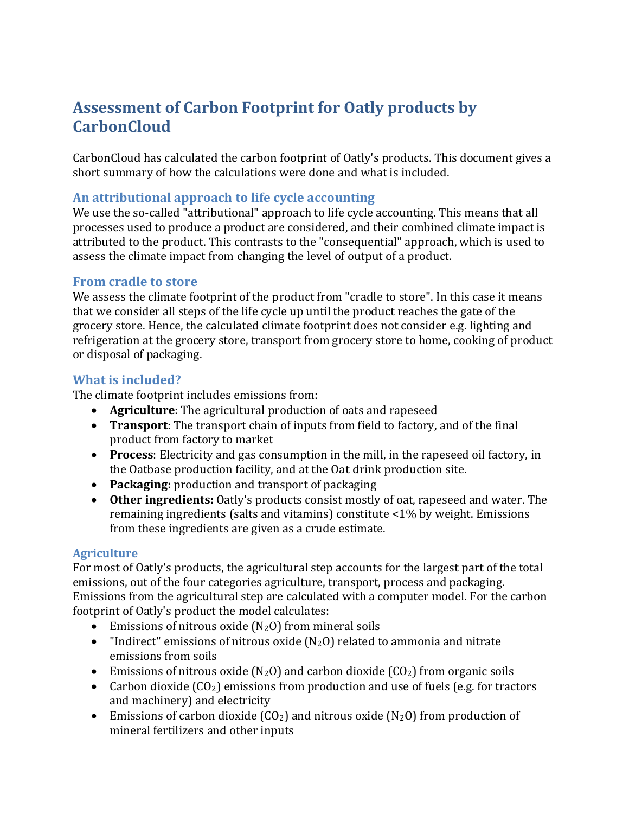# **Assessment of Carbon Footprint for Oatly products by CarbonCloud**

CarbonCloud has calculated the carbon footprint of Oatly's products. This document gives a short summary of how the calculations were done and what is included.

#### **An attributional approach to life cycle accounting**

We use the so-called "attributional" approach to life cycle accounting. This means that all processes used to produce a product are considered, and their combined climate impact is attributed to the product. This contrasts to the "consequential" approach, which is used to assess the climate impact from changing the level of output of a product.

#### **From cradle to store**

We assess the climate footprint of the product from "cradle to store". In this case it means that we consider all steps of the life cycle up until the product reaches the gate of the grocery store. Hence, the calculated climate footprint does not consider e.g. lighting and refrigeration at the grocery store, transport from grocery store to home, cooking of product or disposal of packaging.

#### **What is included?**

The climate footprint includes emissions from:

- **Agriculture**: The agricultural production of oats and rapeseed
- **Transport**: The transport chain of inputs from field to factory, and of the final product from factory to market
- **Process**: Electricity and gas consumption in the mill, in the rapeseed oil factory, in the Oatbase production facility, and at the Oat drink production site.
- **Packaging:** production and transport of packaging
- **Other ingredients:** Oatly's products consist mostly of oat, rapeseed and water. The remaining ingredients (salts and vitamins) constitute <1% by weight. Emissions from these ingredients are given as a crude estimate.

#### **Agriculture**

For most of Oatly's products, the agricultural step accounts for the largest part of the total emissions, out of the four categories agriculture, transport, process and packaging. Emissions from the agricultural step are calculated with a computer model. For the carbon footprint of Oatly's product the model calculates:

- Emissions of nitrous oxide  $(N_2O)$  from mineral soils
- "Indirect" emissions of nitrous oxide  $(N_2O)$  related to ammonia and nitrate emissions from soils
- Emissions of nitrous oxide  $(N_2O)$  and carbon dioxide  $(CO_2)$  from organic soils
- Carbon dioxide  $(CO_2)$  emissions from production and use of fuels (e.g. for tractors and machinery) and electricity
- Emissions of carbon dioxide  $(CO_2)$  and nitrous oxide  $(N_2O)$  from production of mineral fertilizers and other inputs